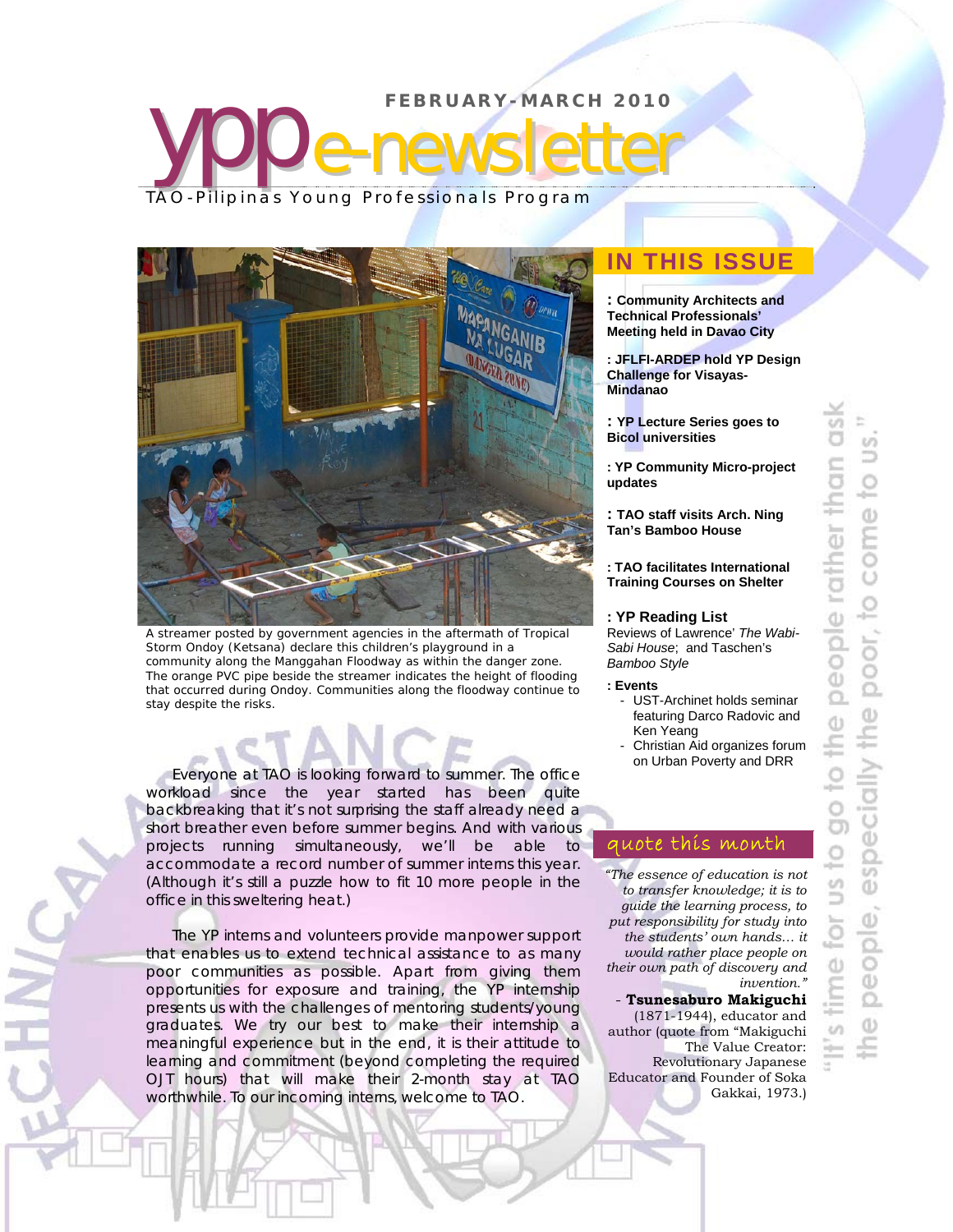# **FEBRUARY-MARCH 2010 yppe-newsletter** TAO-Pilipinas Young Professionals Program



A streamer posted by government agencies in the aftermath of Tropical Storm *Ondoy* (Ketsana) declare this children's playground in a community along the Manggahan Floodway as within the danger zone. The orange PVC pipe beside the streamer indicates the height of flooding that occurred during *Ondoy*. Communities along the floodway continue to stay despite the risks.

Everyone at TAO is looking forward to summer. The office workload since the year started has been quite backbreaking that it's not surprising the staff already need a short breather even before summer begins. And with various projects running simultaneously, we'll be able to accommodate a record number of summer interns this year. (Although it's still a puzzle how to fit 10 more people in the office in this sweltering heat.)

The YP interns and volunteers provide manpower support that enables us to extend technical assistance to as many poor communities as possible. Apart from giving them opportunities for exposure and training, the YP internship presents us with the challenges of mentoring students/young graduates. We try our best to make their internship a meaningful experience but in the end, it is their attitude to learning and commitment (beyond completing the required OJT hours) that will make their 2-month stay at TAO worthwhile. To our incoming interns, welcome to TAO.

j.

## **IN THIS ISSUE**

**: Community Architects and Technical Professionals' Meeting held in Davao City**

**: JFLFI-ARDEP hold YP Design Challenge for Visayas-Mindanao** 

- **: YP Lecture Series goes to Bicol universities**
- **: YP Community Micro-project updates**
- **: TAO staff visits Arch. Ning Tan's Bamboo House**
- **: TAO facilitates International Training Courses on Shelter**

#### **: YP Reading List**

Reviews of Lawrence' *The Wabi-Sabi House*; and Taschen's *Bamboo Style* 

#### **: Events**

- UST-Archinet holds seminar featuring Darco Radovic and Ken Yeang
- Christian Aid organizes forum on Urban Poverty and DRR

#### quote this month

*"The essence of education is not to transfer knowledge; it is to guide the learning process, to put responsibility for study into the students' own hands… it would rather place people on their own path of discovery and invention."* - **Tsunesaburo Makiguchi** (1871-1944), educator and

author (quote from "Makiguchi The Value Creator: Revolutionary Japanese Educator and Founder of Soka Gakkai, 1973.)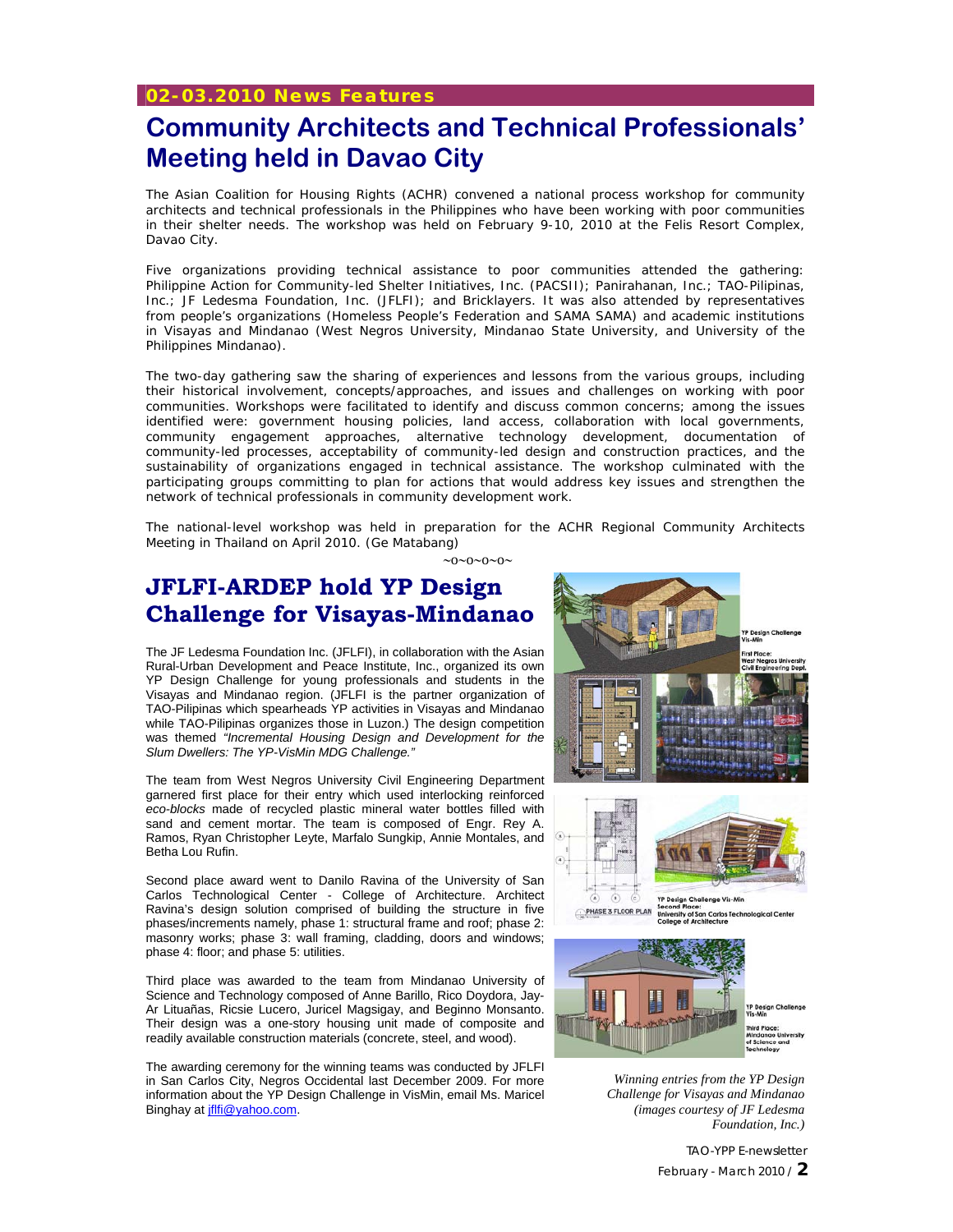# **Community Architects and Technical Professionals' Meeting held in Davao City**

The Asian Coalition for Housing Rights (ACHR) convened a national process workshop for community architects and technical professionals in the Philippines who have been working with poor communities in their shelter needs. The workshop was held on February 9-10, 2010 at the Felis Resort Complex, Davao City.

Five organizations providing technical assistance to poor communities attended the gathering: Philippine Action for Community-led Shelter Initiatives, Inc. (PACSII); Panirahanan, Inc.; TAO-Pilipinas, Inc.; JF Ledesma Foundation, Inc. (JFLFI); and Bricklayers. It was also attended by representatives from people's organizations (Homeless People's Federation and SAMA SAMA) and academic institutions in Visayas and Mindanao (West Negros University, Mindanao State University, and University of the Philippines Mindanao).

The two-day gathering saw the sharing of experiences and lessons from the various groups, including their historical involvement, concepts/approaches, and issues and challenges on working with poor communities. Workshops were facilitated to identify and discuss common concerns; among the issues identified were: government housing policies, land access, collaboration with local governments, community engagement approaches, alternative technology development, documentation of community-led processes, acceptability of community-led design and construction practices, and the sustainability of organizations engaged in technical assistance. The workshop culminated with the participating groups committing to plan for actions that would address key issues and strengthen the network of technical professionals in community development work.

The national-level workshop was held in preparation for the ACHR Regional Community Architects Meeting in Thailand on April 2010. *(Ge Matabang)*

 $\sim 0 \sim 0 \sim 0 \sim$ 

### **JFLFI-ARDEP hold YP Design Challenge for Visayas-Mindanao**

The JF Ledesma Foundation Inc. (JFLFI), in collaboration with the Asian Rural-Urban Development and Peace Institute, Inc., organized its own YP Design Challenge for young professionals and students in the Visayas and Mindanao region. (JFLFI is the partner organization of TAO-Pilipinas which spearheads YP activities in Visayas and Mindanao while TAO-Pilipinas organizes those in Luzon.) The design competition was themed *"Incremental Housing Design and Development for the Slum Dwellers: The YP-VisMin MDG Challenge."* 

The team from West Negros University Civil Engineering Department garnered first place for their entry which used interlocking reinforced *eco-blocks* made of recycled plastic mineral water bottles filled with sand and cement mortar. The team is composed of Engr. Rey A. Ramos, Ryan Christopher Leyte, Marfalo Sungkip, Annie Montales, and Betha Lou Rufin.

Second place award went to Danilo Ravina of the University of San Carlos Technological Center - College of Architecture. Architect Ravina's design solution comprised of building the structure in five phases/increments namely, phase 1: structural frame and roof; phase 2: masonry works; phase 3: wall framing, cladding, doors and windows; phase 4: floor; and phase 5: utilities.

Third place was awarded to the team from Mindanao University of Science and Technology composed of Anne Barillo, Rico Doydora, Jay-Ar Lituañas, Ricsie Lucero, Juricel Magsigay, and Beginno Monsanto. Their design was a one-story housing unit made of composite and readily available construction materials (concrete, steel, and wood).

The awarding ceremony for the winning teams was conducted by JFLFI in San Carlos City, Negros Occidental last December 2009. For more information about the YP Design Challenge in VisMin, email Ms. Maricel Binghay at jflfi@yahoo.com.



*Winning entries from the YP Design Challenge for Visayas and Mindanao (images courtesy of JF Ledesma Foundation, Inc.)* 

> TAO-YPP E-newsletter February - March 2010 / **2**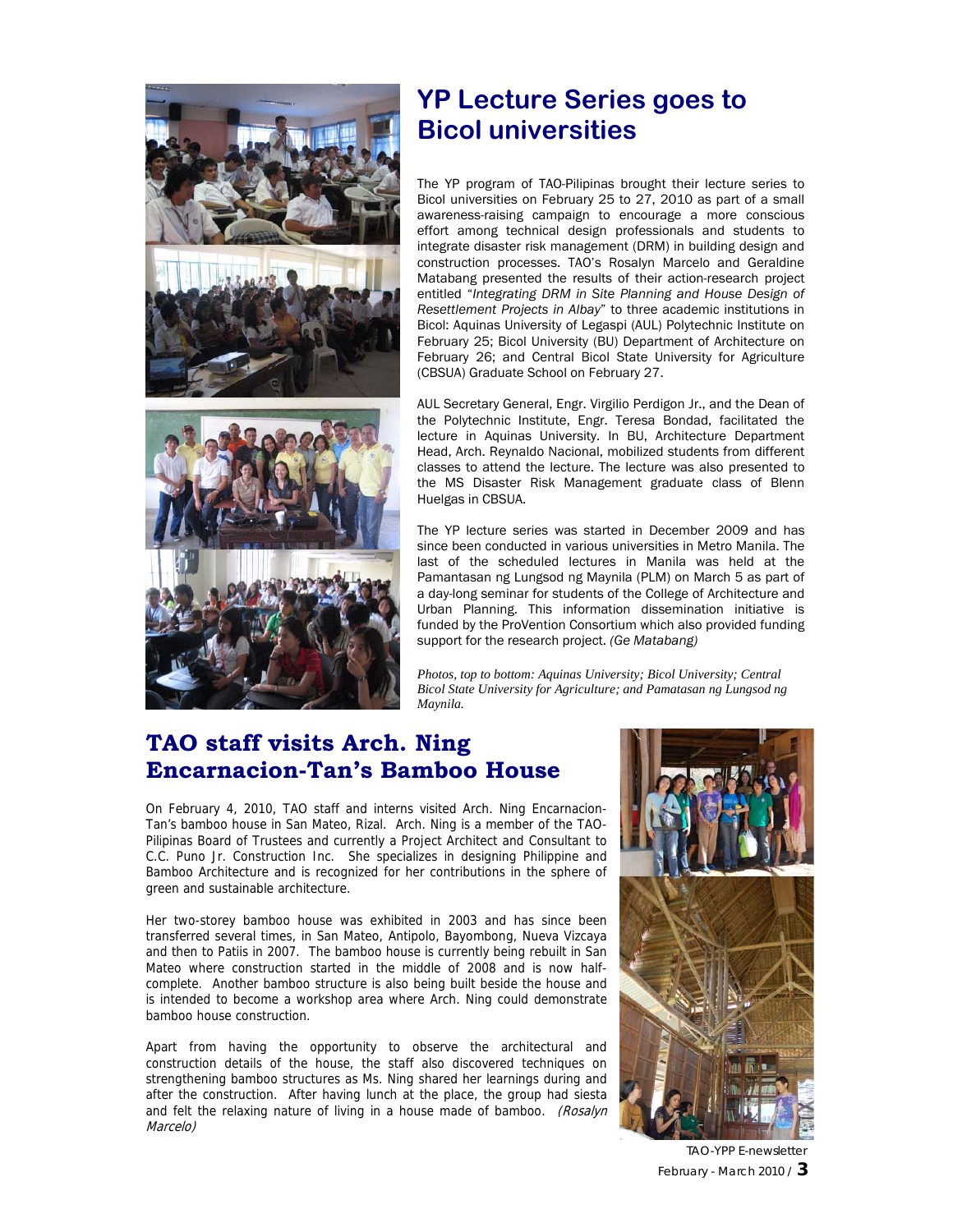

# **YP Lecture Series goes to Bicol universities**

The YP program of TAO-Pilipinas brought their lecture series to Bicol universities on February 25 to 27, 2010 as part of a small awareness-raising campaign to encourage a more conscious effort among technical design professionals and students to integrate disaster risk management (DRM) in building design and construction processes. TAO's Rosalyn Marcelo and Geraldine Matabang presented the results of their action-research project entitled "*Integrating DRM in Site Planning and House Design of Resettlement Projects in Albay*" to three academic institutions in Bicol: Aquinas University of Legaspi (AUL) Polytechnic Institute on February 25; Bicol University (BU) Department of Architecture on February 26; and Central Bicol State University for Agriculture (CBSUA) Graduate School on February 27.

AUL Secretary General, Engr. Virgilio Perdigon Jr., and the Dean of the Polytechnic Institute, Engr. Teresa Bondad, facilitated the lecture in Aquinas University. In BU, Architecture Department Head, Arch. Reynaldo Nacional, mobilized students from different classes to attend the lecture. The lecture was also presented to the MS Disaster Risk Management graduate class of Blenn Huelgas in CBSUA.

The YP lecture series was started in December 2009 and has since been conducted in various universities in Metro Manila. The last of the scheduled lectures in Manila was held at the Pamantasan ng Lungsod ng Maynila (PLM) on March 5 as part of a day-long seminar for students of the College of Architecture and Urban Planning. This information dissemination initiative is funded by the ProVention Consortium which also provided funding support for the research project. *(Ge Matabang)*

*Photos, top to bottom: Aquinas University; Bicol University; Central Bicol State University for Agriculture; and Pamatasan ng Lungsod ng Maynila.* 

## **TAO staff visits Arch. Ning Encarnacion-Tan's Bamboo House**

On February 4, 2010, TAO staff and interns visited Arch. Ning Encarnacion-Tan's bamboo house in San Mateo, Rizal. Arch. Ning is a member of the TAO-Pilipinas Board of Trustees and currently a Project Architect and Consultant to C.C. Puno Jr. Construction Inc. She specializes in designing Philippine and Bamboo Architecture and is recognized for her contributions in the sphere of green and sustainable architecture.

Her two-storey bamboo house was exhibited in 2003 and has since been transferred several times, in San Mateo, Antipolo, Bayombong, Nueva Vizcaya and then to Patiis in 2007. The bamboo house is currently being rebuilt in San Mateo where construction started in the middle of 2008 and is now halfcomplete. Another bamboo structure is also being built beside the house and is intended to become a workshop area where Arch. Ning could demonstrate bamboo house construction.

Apart from having the opportunity to observe the architectural and construction details of the house, the staff also discovered techniques on strengthening bamboo structures as Ms. Ning shared her learnings during and after the construction. After having lunch at the place, the group had siesta and felt the relaxing nature of living in a house made of bamboo. (Rosalyn Marcelo)



TAO-YPP E-newsletter February - March 2010 / **3**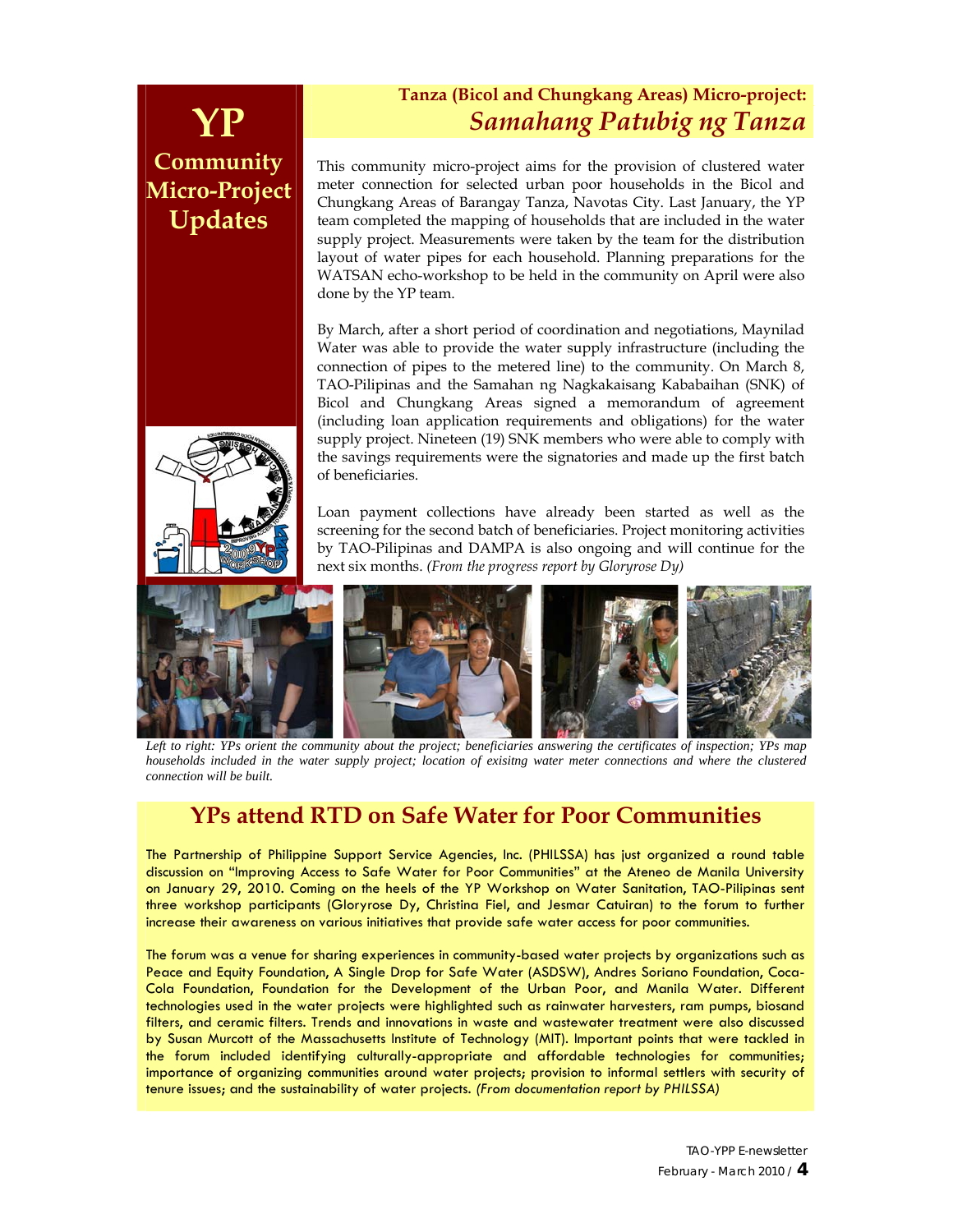# **Community Micro-Project Updates**

## **Tanza (Bicol and Chungkang Areas) Micro-project: YP** *Samahang Patubig ng Tanza*

This community micro-project aims for the provision of clustered water meter connection for selected urban poor households in the Bicol and Chungkang Areas of Barangay Tanza, Navotas City. Last January, the YP team completed the mapping of households that are included in the water supply project. Measurements were taken by the team for the distribution layout of water pipes for each household. Planning preparations for the WATSAN echo-workshop to be held in the community on April were also done by the YP team.

By March, after a short period of coordination and negotiations, Maynilad Water was able to provide the water supply infrastructure (including the connection of pipes to the metered line) to the community. On March 8, TAO-Pilipinas and the Samahan ng Nagkakaisang Kababaihan (SNK) of Bicol and Chungkang Areas signed a memorandum of agreement (including loan application requirements and obligations) for the water supply project. Nineteen (19) SNK members who were able to comply with the savings requirements were the signatories and made up the first batch of beneficiaries.

Loan payment collections have already been started as well as the screening for the second batch of beneficiaries. Project monitoring activities by TAO-Pilipinas and DAMPA is also ongoing and will continue for the next six months. *(From the progress report by Gloryrose Dy)*



Left to right: YPs orient the community about the project; beneficiaries answering the certificates of inspection; YPs map *households included in the water supply project; location of exisitng water meter connections and where the clustered connection will be built.* 

## **YPs attend RTD on Safe Water for Poor Communities**

The Partnership of Philippine Support Service Agencies, Inc. (PHILSSA) has just organized a round table discussion on "Improving Access to Safe Water for Poor Communities" at the Ateneo de Manila University on January 29, 2010. Coming on the heels of the YP Workshop on Water Sanitation, TAO-Pilipinas sent three workshop participants (Gloryrose Dy, Christina Fiel, and Jesmar Catuiran) to the forum to further increase their awareness on various initiatives that provide safe water access for poor communities.

The forum was a venue for sharing experiences in community-based water projects by organizations such as Peace and Equity Foundation, A Single Drop for Safe Water (ASDSW), Andres Soriano Foundation, Coca-Cola Foundation, Foundation for the Development of the Urban Poor, and Manila Water. Different technologies used in the water projects were highlighted such as rainwater harvesters, ram pumps, biosand filters, and ceramic filters. Trends and innovations in waste and wastewater treatment were also discussed by Susan Murcott of the Massachusetts Institute of Technology (MIT). Important points that were tackled in the forum included identifying culturally-appropriate and affordable technologies for communities; importance of organizing communities around water projects; provision to informal settlers with security of tenure issues; and the sustainability of water projects. *(From documentation report by PHILSSA)* 

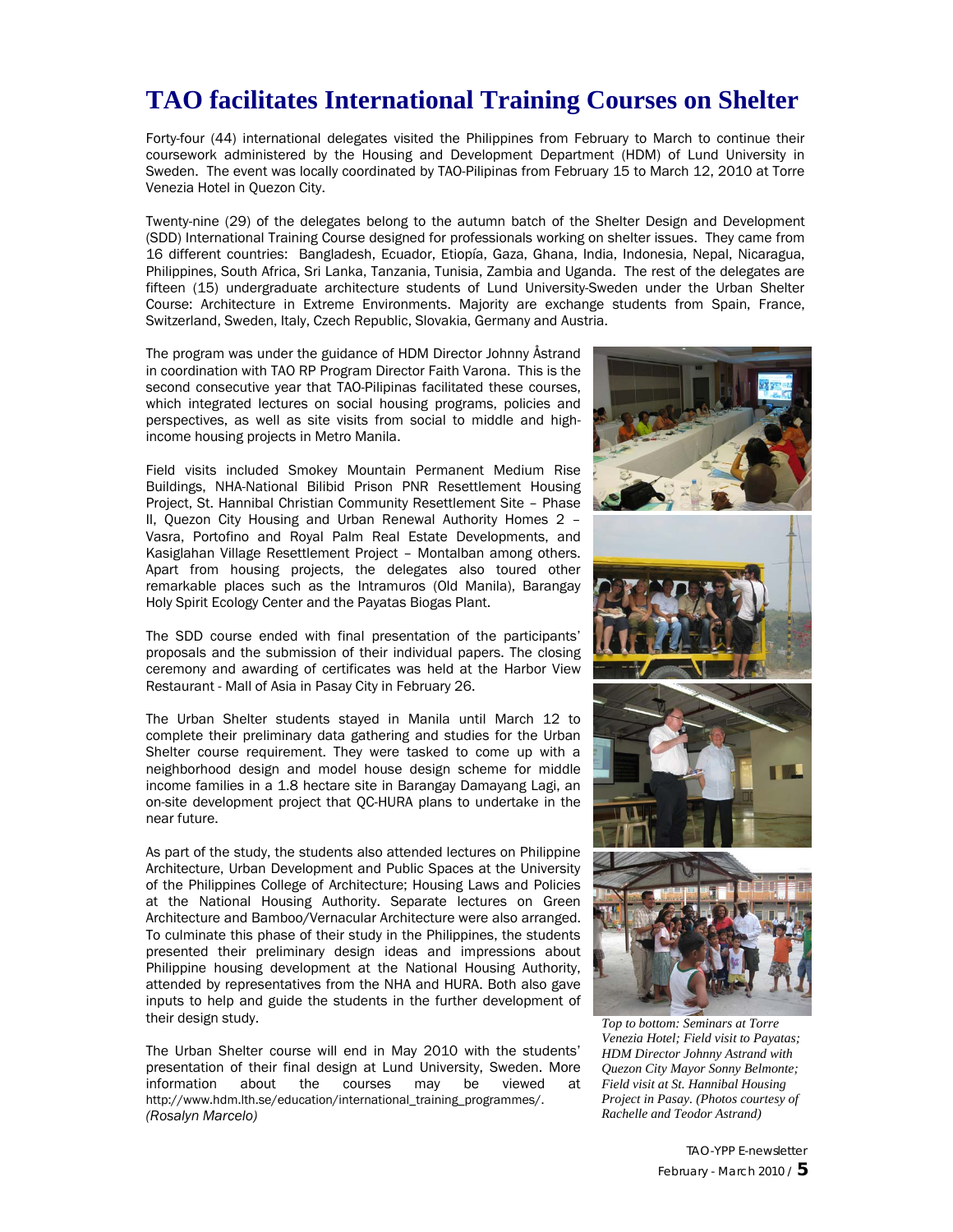# **TAO facilitates International Training Courses on Shelter**

Forty-four (44) international delegates visited the Philippines from February to March to continue their coursework administered by the Housing and Development Department (HDM) of Lund University in Sweden. The event was locally coordinated by TAO-Pilipinas from February 15 to March 12, 2010 at Torre Venezia Hotel in Quezon City.

Twenty-nine (29) of the delegates belong to the autumn batch of the Shelter Design and Development (SDD) International Training Course designed for professionals working on shelter issues. They came from 16 different countries: Bangladesh, Ecuador, Etiopía, Gaza, Ghana, India, Indonesia, Nepal, Nicaragua, Philippines, South Africa, Sri Lanka, Tanzania, Tunisia, Zambia and Uganda. The rest of the delegates are fifteen (15) undergraduate architecture students of Lund University-Sweden under the Urban Shelter Course: Architecture in Extreme Environments. Majority are exchange students from Spain, France, Switzerland, Sweden, Italy, Czech Republic, Slovakia, Germany and Austria.

The program was under the guidance of HDM Director Johnny Åstrand in coordination with TAO RP Program Director Faith Varona. This is the second consecutive year that TAO-Pilipinas facilitated these courses, which integrated lectures on social housing programs, policies and perspectives, as well as site visits from social to middle and highincome housing projects in Metro Manila.

Field visits included Smokey Mountain Permanent Medium Rise Buildings, NHA-National Bilibid Prison PNR Resettlement Housing Project, St. Hannibal Christian Community Resettlement Site – Phase II, Quezon City Housing and Urban Renewal Authority Homes 2 – Vasra, Portofino and Royal Palm Real Estate Developments, and Kasiglahan Village Resettlement Project – Montalban among others. Apart from housing projects, the delegates also toured other remarkable places such as the Intramuros (Old Manila), Barangay Holy Spirit Ecology Center and the Payatas Biogas Plant.

The SDD course ended with final presentation of the participants' proposals and the submission of their individual papers. The closing ceremony and awarding of certificates was held at the Harbor View Restaurant - Mall of Asia in Pasay City in February 26.

The Urban Shelter students stayed in Manila until March 12 to complete their preliminary data gathering and studies for the Urban Shelter course requirement. They were tasked to come up with a neighborhood design and model house design scheme for middle income families in a 1.8 hectare site in Barangay Damayang Lagi, an on-site development project that QC-HURA plans to undertake in the near future.

As part of the study, the students also attended lectures on Philippine Architecture, Urban Development and Public Spaces at the University of the Philippines College of Architecture; Housing Laws and Policies at the National Housing Authority. Separate lectures on Green Architecture and Bamboo/Vernacular Architecture were also arranged. To culminate this phase of their study in the Philippines, the students presented their preliminary design ideas and impressions about Philippine housing development at the National Housing Authority, attended by representatives from the NHA and HURA. Both also gave inputs to help and guide the students in the further development of their design study.

The Urban Shelter course will end in May 2010 with the students' presentation of their final design at Lund University, Sweden. More information about the courses may be viewed at http://www.hdm.lth.se/education/international\_training\_programmes/. *(Rosalyn Marcelo)*



*Top to bottom: Seminars at Torre Venezia Hotel; Field visit to Payatas; HDM Director Johnny Astrand with Quezon City Mayor Sonny Belmonte; Field visit at St. Hannibal Housing Project in Pasay. (Photos courtesy of Rachelle and Teodor Astrand)*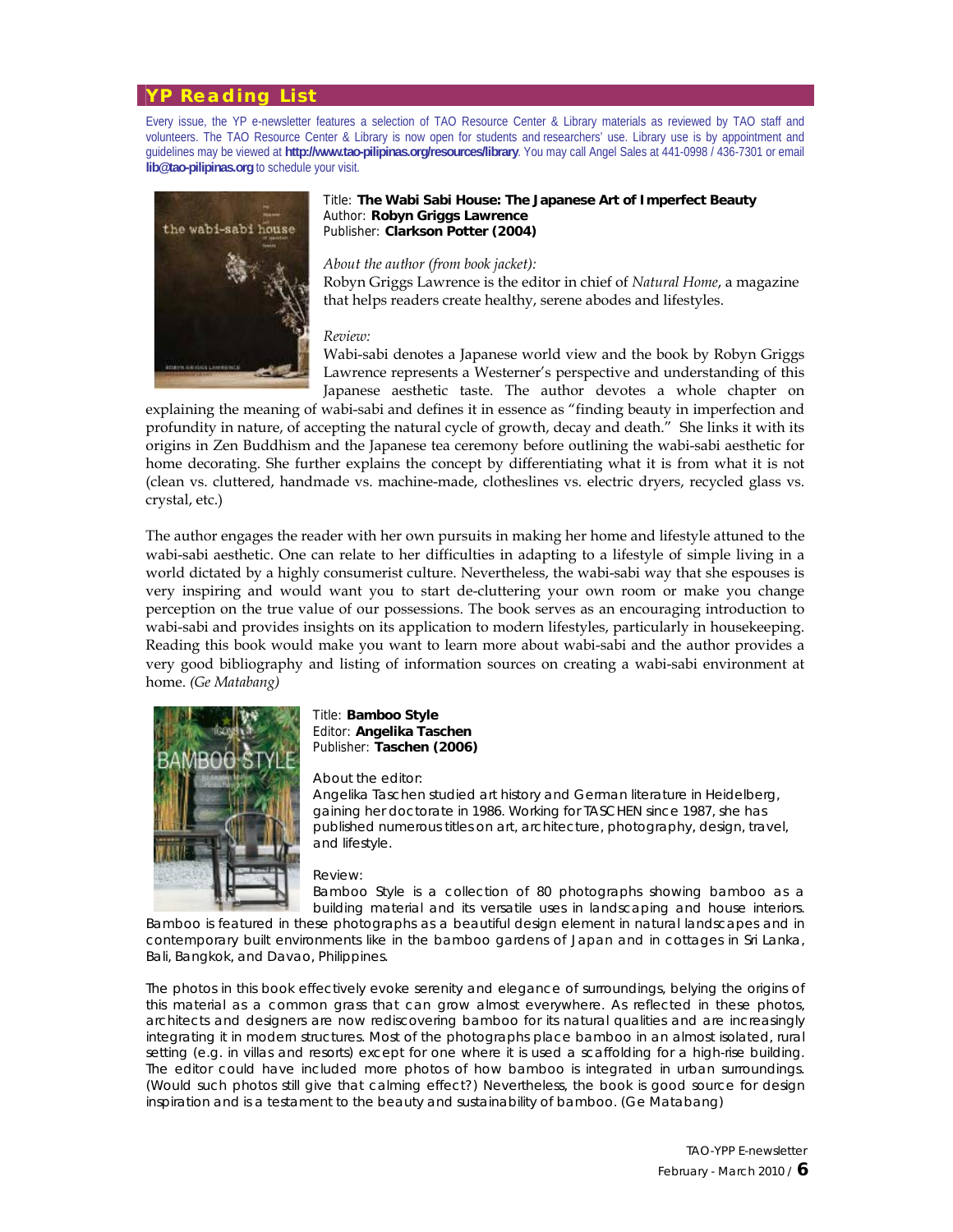#### **YP Reading List**

Every issue, the YP e-newsletter features a selection of TAO Resource Center & Library materials as reviewed by TAO staff and volunteers. The TAO Resource Center & Library is now open for students and researchers' use. Library use is by appointment and guidelines may be viewed at **http://www.tao-pilipinas.org/resources/library**. You may call Angel Sales at 441-0998 / 436-7301 or email **lib@tao-pilipinas.org** to schedule your visit.



#### Title: **The Wabi Sabi House: The Japanese Art of Imperfect Beauty**  Author: **Robyn Griggs Lawrence**  Publisher: **Clarkson Potter (2004)**

#### *About the author (from book jacket):*

Robyn Griggs Lawrence is the editor in chief of *Natural Home*, a magazine that helps readers create healthy, serene abodes and lifestyles.

#### *Review:*

Wabi-sabi denotes a Japanese world view and the book by Robyn Griggs Lawrence represents a Westerner's perspective and understanding of this Japanese aesthetic taste. The author devotes a whole chapter on

explaining the meaning of wabi-sabi and defines it in essence as "finding beauty in imperfection and profundity in nature, of accepting the natural cycle of growth, decay and death." She links it with its origins in Zen Buddhism and the Japanese tea ceremony before outlining the wabi-sabi aesthetic for home decorating. She further explains the concept by differentiating what it is from what it is not (clean vs. cluttered, handmade vs. machine-made, clotheslines vs. electric dryers, recycled glass vs. crystal, etc.)

The author engages the reader with her own pursuits in making her home and lifestyle attuned to the wabi-sabi aesthetic. One can relate to her difficulties in adapting to a lifestyle of simple living in a world dictated by a highly consumerist culture. Nevertheless, the wabi-sabi way that she espouses is very inspiring and would want you to start de-cluttering your own room or make you change perception on the true value of our possessions. The book serves as an encouraging introduction to wabi-sabi and provides insights on its application to modern lifestyles, particularly in housekeeping. Reading this book would make you want to learn more about wabi-sabi and the author provides a very good bibliography and listing of information sources on creating a wabi-sabi environment at home. *(Ge Matabang)*



#### Title: **Bamboo Style**  Editor: **Angelika Taschen**  Publisher: **Taschen (2006)**

#### *About the editor:*

Angelika Taschen studied art history and German literature in Heidelberg, gaining her doctorate in 1986. Working for TASCHEN since 1987, she has published numerous titles on art, architecture, photography, design, travel, and lifestyle.

#### *Review:*

*Bamboo Style* is a collection of 80 photographs showing bamboo as a building material and its versatile uses in landscaping and house interiors.

Bamboo is featured in these photographs as a beautiful design element in natural landscapes and in contemporary built environments like in the bamboo gardens of Japan and in cottages in Sri Lanka, Bali, Bangkok, and Davao, Philippines.

The photos in this book effectively evoke serenity and elegance of surroundings, belying the origins of this material as a common grass that can grow almost everywhere. As reflected in these photos, architects and designers are now rediscovering bamboo for its natural qualities and are increasingly integrating it in modern structures. Most of the photographs place bamboo in an almost isolated, rural setting (e.g. in villas and resorts) except for one where it is used a scaffolding for a high-rise building. The editor could have included more photos of how bamboo is integrated in urban surroundings. (Would such photos still give that calming effect?) Nevertheless, the book is good source for design inspiration and is a testament to the beauty and sustainability of bamboo. *(Ge Matabang)*